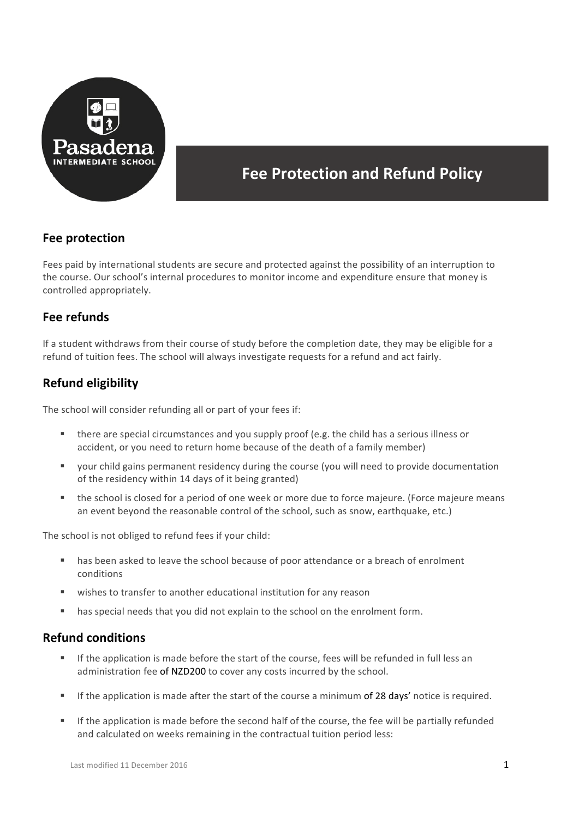

# **Fee Protection and Refund Policy**

### **Fee protection**

Fees paid by international students are secure and protected against the possibility of an interruption to the course. Our school's internal procedures to monitor income and expenditure ensure that money is controlled appropriately.

### **Fee refunds**

If a student withdraws from their course of study before the completion date, they may be eligible for a refund of tuition fees. The school will always investigate requests for a refund and act fairly.

### **Refund eligibility**

The school will consider refunding all or part of your fees if:

- there are special circumstances and you supply proof (e.g. the child has a serious illness or accident, or you need to return home because of the death of a family member)
- your child gains permanent residency during the course (you will need to provide documentation of the residency within 14 days of it being granted)
- the school is closed for a period of one week or more due to force majeure. (Force majeure means an event beyond the reasonable control of the school, such as snow, earthquake, etc.)

The school is not obliged to refund fees if your child:

- has been asked to leave the school because of poor attendance or a breach of enrolment conditions
- wishes to transfer to another educational institution for any reason
- has special needs that you did not explain to the school on the enrolment form.

#### **Refund conditions**

- If the application is made before the start of the course, fees will be refunded in full less an administration fee of NZD200 to cover any costs incurred by the school.
- If the application is made after the start of the course a minimum of 28 days' notice is required.
- **•** If the application is made before the second half of the course, the fee will be partially refunded and calculated on weeks remaining in the contractual tuition period less: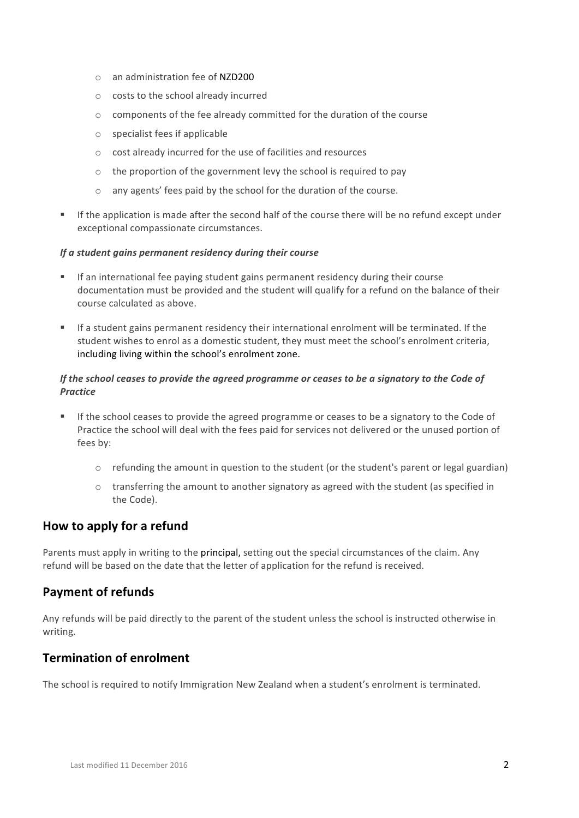- $\circ$  an administration fee of NZD200
- $\circ$  costs to the school already incurred
- $\circ$  components of the fee already committed for the duration of the course
- $\circ$  specialist fees if applicable
- $\circ$  cost already incurred for the use of facilities and resources
- $\circ$  the proportion of the government levy the school is required to pay
- $\circ$  any agents' fees paid by the school for the duration of the course.
- If the application is made after the second half of the course there will be no refund except under exceptional compassionate circumstances.

#### *If a student gains permanent residency during their course*

- If an international fee paying student gains permanent residency during their course documentation must be provided and the student will qualify for a refund on the balance of their course calculated as above.
- If a student gains permanent residency their international enrolment will be terminated. If the student wishes to enrol as a domestic student, they must meet the school's enrolment criteria, including living within the school's enrolment zone.

#### *If* the school ceases to provide the agreed programme or ceases to be a signatory to the Code of *Practice*

- If the school ceases to provide the agreed programme or ceases to be a signatory to the Code of Practice the school will deal with the fees paid for services not delivered or the unused portion of fees by:
	- $\circ$  refunding the amount in question to the student (or the student's parent or legal guardian)
	- $\circ$  transferring the amount to another signatory as agreed with the student (as specified in the Code).

### **How to apply for a refund**

Parents must apply in writing to the principal, setting out the special circumstances of the claim. Any refund will be based on the date that the letter of application for the refund is received.

#### **Payment of refunds**

Any refunds will be paid directly to the parent of the student unless the school is instructed otherwise in writing. 

### **Termination of enrolment**

The school is required to notify Immigration New Zealand when a student's enrolment is terminated.